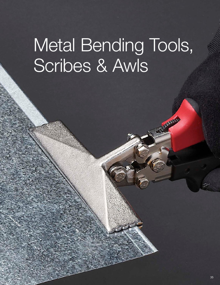# Metal Bending Tools, Scribes & Awls

Community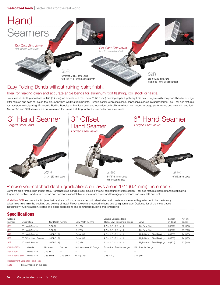malco tool book | better ideas for the real world.



#### Ideal for making clean and accurate angle bends for aluminum roof flashing, coil stock or fascia.

Jaws feature depth graduations in 1/4" (6.4 mm) increments to a maximum 2" (50.8 mm) bending depth. Lightweight die cast zinc jaws with compound handle leverage offer comfort and ease of use on-the-job, even when working from heights. Durable construction offers long, dependable service life under normal use. Tool also features rust resistant nickel plating. Ergonomic Redline Handles with unique one-hand operation latch offer maximum compound leverage performance and natural fit and feel. Malco S5R and S9R seamers are not warranted for use as a striking tool or for use on ferrous sheet metal.



#### Precise vee-notched depth graduations on jaws are in 1/4" (6.4 mm) increments.

Jaws are drop forged, high impact steel. Hardened steel handles resist abuse. Powerful compound leverage design. Tool also features rust resistant nickel plating. Ergonomic Redline Handles with unique one-hand operation latch offer maximum compound leverage performance and natural fit and feel.

Model No. S6R features wide 6" jaws that produce uniform, accurate bends in sheet steel and non-ferrous metals with greater control and efficiency. Wider jaws also minimize buckling and bowing of metal. Fewer strokes are required to bend and straighten angles. Designed for all the metal trades, including HVACR installation, roofing and siding applications and commercial building and remodeling. 

#### Specifications

| Catalog<br>Number                 | Description           |                  | Jaw Depth in. (mm) | Jaw Width in. (mm)       | Variable Leverage Ratio<br>(High / Low) throughout stroke | Jaws                       | Length<br>in. $(mm)$ | Net Wt.<br>$oz.$ (g) |  |
|-----------------------------------|-----------------------|------------------|--------------------|--------------------------|-----------------------------------------------------------|----------------------------|----------------------|----------------------|--|
| S <sub>5</sub> R                  | 5" Hand Seamer        | 2(50.8)          |                    | 5(127)                   | 4.7 to 1.0 - 7.1 to 1.0                                   | Die Cast Zinc              | 9(229)               | 22 (624)             |  |
| S9R                               | 9" Hand Seamer        | 2(50.8)          |                    | 9(229)                   | 4.7 to 1.0 - 7.1 to 1.0                                   | Die Cast Zinc              | 9(229)               | 28 (794)             |  |
| S <sub>2</sub> R                  | 3" Hand Seamer        | $1 - 1/4$ (31.8) |                    | $3-1/4(83)$              | 4.7 to 1.0 - 7.1 to 1.0                                   | High Carbon Steel Forgings | 8 (203)              | 24 (680)             |  |
| S <sub>3</sub> R                  | 3" Offset Hand Seamer | $1 - 1/4$ (31.8) |                    | $3 - 1/4$ (83)           | 4.7 to 1.0 - 7.1 to 1.0                                   | High Carbon Steel Forgings | 8 (203)              | 24 (680)             |  |
| S <sub>6</sub> R                  | 6" Hand Seamer        | $1 - 1/4$ (31.8) |                    | 6 (152)                  | 4.7 to 1.0 - 7.1 to 1.0                                   | High Carbon Steel Forgings | 8 (203)              | 30 (851)             |  |
| <b>CAPACITIES</b>                 | Material              | Aluminum         | Copper             | Stainless Steel 26 Gauge | Galvanized Steel 24 Gauge                                 | Mild Steel 24 Gauge        |                      |                      |  |
| S5R / S9R                         | inches (mm)           | 0.29(0.74)       | -                  |                          |                                                           | –                          |                      |                      |  |
| S2R / S3R / S6R                   | inches (mm)           | 0.35(0.89)       | 0.23(0.58)         | 0.18(0.46)               | 0.28(0.71)                                                | 0.24(0.61)                 |                      |                      |  |
| Replacement Spring for Hand Tools |                       |                  |                    |                          |                                                           |                            |                      |                      |  |

5018 Fits All models on this page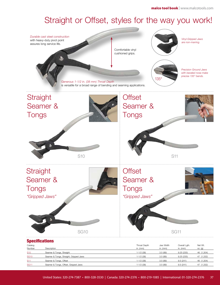### Straight or Offset, styles for the way you work!



#### Specifications

| Catalog<br>Number | Description                            | Throat Depth<br>in. $(mm)$ | Jaw Width<br>in. (mm) | Overall Lgth.<br>in. $(mm)$ | Net Wt.<br>$OZ.$ (g) |
|-------------------|----------------------------------------|----------------------------|-----------------------|-----------------------------|----------------------|
| <b>S10</b>        | Seamer & Tongs, Straight               | $1 - 1/2$ (38)             | 3.5(89)               | 9.25(235)                   | 46 (1,304)           |
| <b>SG10</b>       | Seamer & Tongs, Straight, Gripped Jaws | $1 - 1/2$ (38)             | 3.5(89)               | 9.25(235)                   | 47 (1,332)           |
| <b>S11</b>        | Seamer & Tongs, Offset                 | $1 - 1/2$ (38)             | 3.5(89)               | 9.5(241)                    | 46 (1,304)           |
| <b>SG11</b>       | Seamer & Tongs, Offset, Gripped Jaws   | $1 - 1/2$ (38)             | 3.5(89)               | 9.5(241)                    | 47 (1,332)           |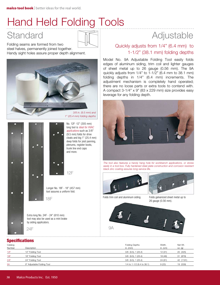## Hand Held Folding Tools

Folding seams are formed from two steel halves, permanently joined together. Handy sight holes assure proper depth alignment.









Longer No. 18F - 18" (457 mm) tool assures a uniform fold.

Extra long No. 24F - 24" (610 mm) tool may also be used as a mini brake by siding applicators.

18F

## Standard **Adjustable**

### Quickly adjusts from 1/4" (6.4 mm) to 1-1/2" (38.1 mm) folding depths

Model No. 9A Adjustable Folding Tool easily folds edges of aluminum siding, trim coil and lighter gauges of sheet metal up to 26 gauge (0.56 mm). The 9A quickly adjusts from 1/4" to 1-1/2" (6.4 mm to 38.1 mm) folding depths in 1/4" (6.4 mm) increments. The adjustment mechanism is completely hand operated; there are no loose parts or extra tools to contend with. A compact 3-1/4" x 9" (83 x 229 mm) size provides easy leverage for any folding depth.



*The tool also features a handy hang hole for workbench applications, or stores*  easily in a tool box. Fully hardened steel plate construction and corrosion resistant *black zinc coating assures long service life.*





Folds trim coil and aluminum siding. Folds galvanized sheet metal up to

26 gauge (0.56 mm).



Catalog Folding Depths Width. Net Wt. Number Description in. (mm) in. (cm) oz. (g) 12F 12" Folding Tool 3/8 (9.5), 1 (25.4) 12 (31) 20 (425) 18F 18" Folding Tool 3/8 (9.5), 1 (25.4) 18 (46) 31 (879) 24F 24" Folding Tool 3/8 (9.5), 1 (25.4) 24 (61) 42 (1191) 9 9A 9" Adjustable Folding Tool 19 (539) 9 (23) 9 (23) 9 (23) 9 (23) 9 (23) 9 (23) 9 (539) 9 (23) 9 (539) 9 (539) 9 (539) 9 (539) 9 (539) 9 (539) 9 (539) 9 (539) 9 (539) 9 (539) 9 (539) 9 (539) 9 (539) 9 (539) 9 (539) 9 (5 **Specifications**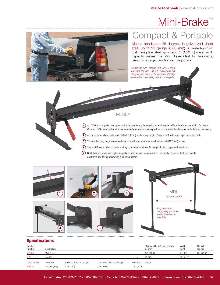## Mini-Brake™



## Compact & Portable

Makes bends to 135 degrees in galvanized sheet steel up to 22 gauge (0.86 mm). A beefed-up 1/4" (6.4 mm) plate steel apron and 4' (1.22 m) metal width capacity makes the Mini Brake ideal for fabricating plenums or large transitions at the job site.

*Compact size makes the Mini Brake* 





anvil from free falling or creating a pinching hazard.

#### **Specifications**

| Catalog<br>Number | Description |                          |                           | Minimum Hem Bending Depth<br>in. $(mm)$ | Width.<br>ft. (M) | Net Wt.<br>$\mathsf{lbs.}\mathsf{(kg)}$ |
|-------------------|-------------|--------------------------|---------------------------|-----------------------------------------|-------------------|-----------------------------------------|
| MB48A             | Mini-Brake  |                          |                           | $1/2$ $(12.7)$                          | 4(1.22)           | 72 (32.66)                              |
| <b>MBL</b>        | Lea Kit     |                          |                           | 18 (46)<br>-                            | 18 (8.17)         |                                         |
| <b>CAPACITIES</b> | Material    | Stainless Steel 24 Gauge | Galvanized Steel 22 Gauge | Mild Steel 22 Gauge                     |                   |                                         |
| MB48A             | inches (mm) | 0.24(0.61)               | 0.34(0.86)                | 0.30(0.76)                              |                   |                                         |